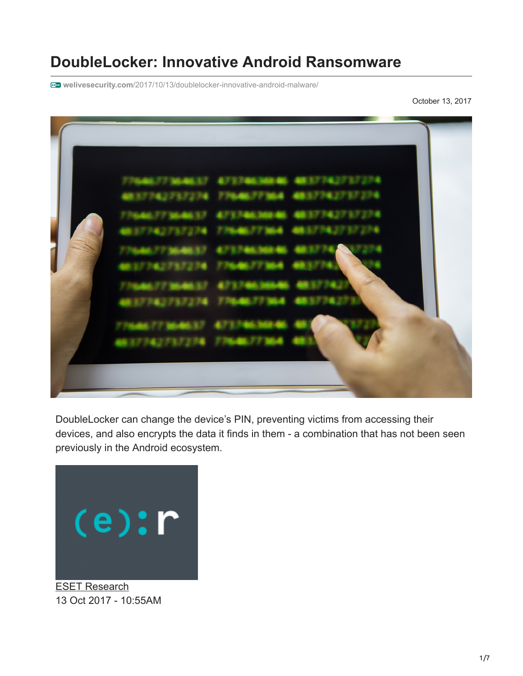# **DoubleLocker: Innovative Android Ransomware**

**welivesecurity.com**[/2017/10/13/doublelocker-innovative-android-malware/](https://www.welivesecurity.com/2017/10/13/doublelocker-innovative-android-malware/)

October 13, 2017

| 3774273727<br>08.3.7.74.27°3.7274 77646.77°364<br>4837242737224<br>FORD 77 30-80-37 47 3740 300 46<br>48.37.74.27.37.274<br>137342737234<br>27 706 AM 37 7<br>MELL 74.173.7274 77646.77364<br>7/04/06/77 306-06-37<br>407 S.7 406, 20064<br>un 37742737274 7764677364 |  |
|-----------------------------------------------------------------------------------------------------------------------------------------------------------------------------------------------------------------------------------------------------------------------|--|
| 08:37:242737274 77648377364                                                                                                                                                                                                                                           |  |
|                                                                                                                                                                                                                                                                       |  |

DoubleLocker can change the device's PIN, preventing victims from accessing their devices, and also encrypts the data it finds in them - a combination that has not been seen previously in the Android ecosystem.



[ESET Research](https://www.welivesecurity.com/author/esetresearch/) 13 Oct 2017 - 10:55AM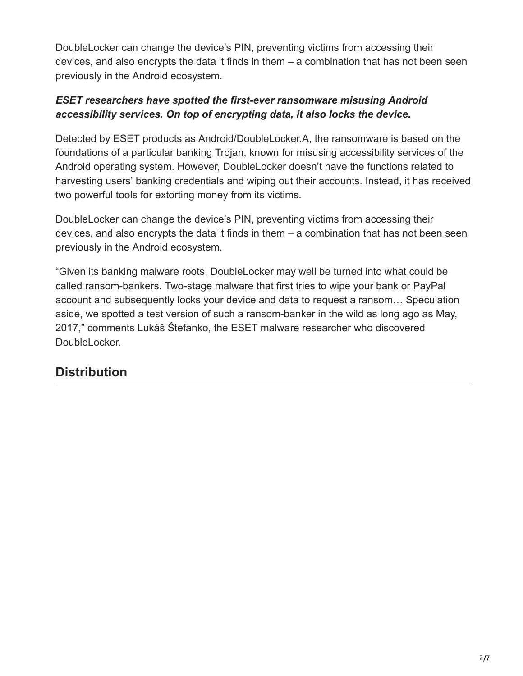DoubleLocker can change the device's PIN, preventing victims from accessing their devices, and also encrypts the data it finds in them – a combination that has not been seen previously in the Android ecosystem.

#### *ESET researchers have spotted the first-ever ransomware misusing Android accessibility services. On top of encrypting data, it also locks the device.*

Detected by ESET products as Android/DoubleLocker.A, the ransomware is based on the foundations [of a particular banking Trojan](https://news.drweb.com/show/?i=11381&lng=en), known for misusing accessibility services of the Android operating system. However, DoubleLocker doesn't have the functions related to harvesting users' banking credentials and wiping out their accounts. Instead, it has received two powerful tools for extorting money from its victims.

DoubleLocker can change the device's PIN, preventing victims from accessing their devices, and also encrypts the data it finds in them – a combination that has not been seen previously in the Android ecosystem.

"Given its banking malware roots, DoubleLocker may well be turned into what could be called ransom-bankers. Two-stage malware that first tries to wipe your bank or PayPal account and subsequently locks your device and data to request a ransom… Speculation aside, we spotted a test version of such a ransom-banker in the wild as long ago as May, 2017," comments Lukáš Štefanko, the ESET malware researcher who discovered DoubleLocker.

## **Distribution**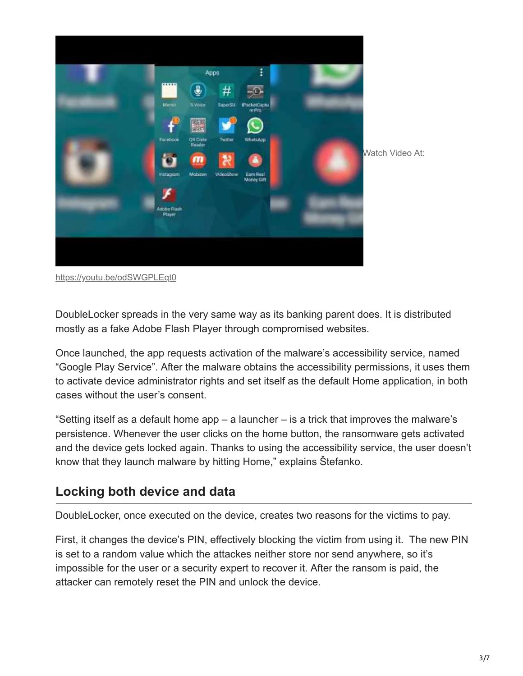

<https://youtu.be/odSWGPLEqt0>

DoubleLocker spreads in the very same way as its banking parent does. It is distributed mostly as a fake Adobe Flash Player through compromised websites.

Once launched, the app requests activation of the malware's accessibility service, named "Google Play Service". After the malware obtains the accessibility permissions, it uses them to activate device administrator rights and set itself as the default Home application, in both cases without the user's consent.

"Setting itself as a default home app – a launcher – is a trick that improves the malware's persistence. Whenever the user clicks on the home button, the ransomware gets activated and the device gets locked again. Thanks to using the accessibility service, the user doesn't know that they launch malware by hitting Home," explains Štefanko.

### **Locking both device and data**

DoubleLocker, once executed on the device, creates two reasons for the victims to pay.

First, it changes the device's PIN, effectively blocking the victim from using it. The new PIN is set to a random value which the attackes neither store nor send anywhere, so it's impossible for the user or a security expert to recover it. After the ransom is paid, the attacker can remotely reset the PIN and unlock the device.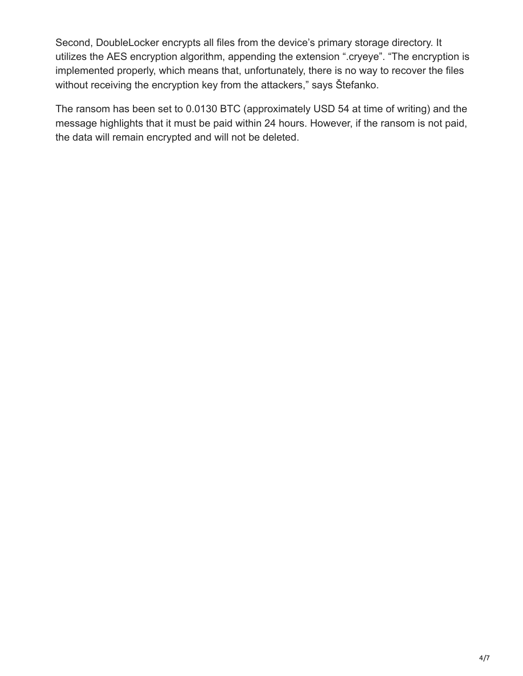Second, DoubleLocker encrypts all files from the device's primary storage directory. It utilizes the AES encryption algorithm, appending the extension ".cryeye". "The encryption is implemented properly, which means that, unfortunately, there is no way to recover the files without receiving the encryption key from the attackers," says Štefanko.

The ransom has been set to 0.0130 BTC (approximately USD 54 at time of writing) and the message highlights that it must be paid within 24 hours. However, if the ransom is not paid, the data will remain encrypted and will not be deleted.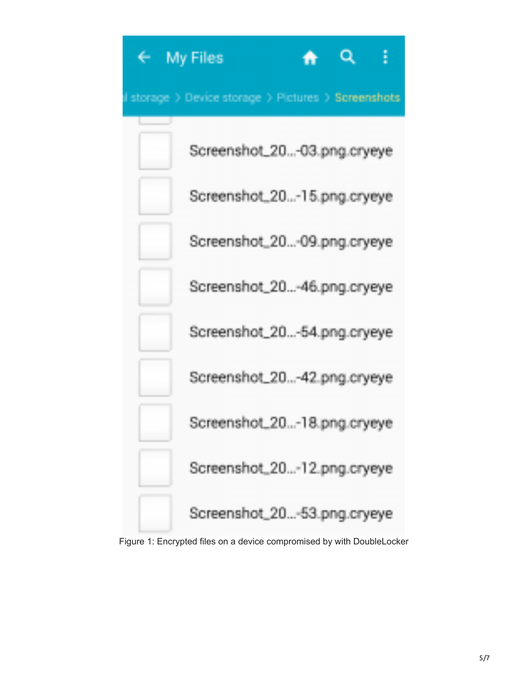

Figure 1: Encrypted files on a device compromised by with DoubleLocker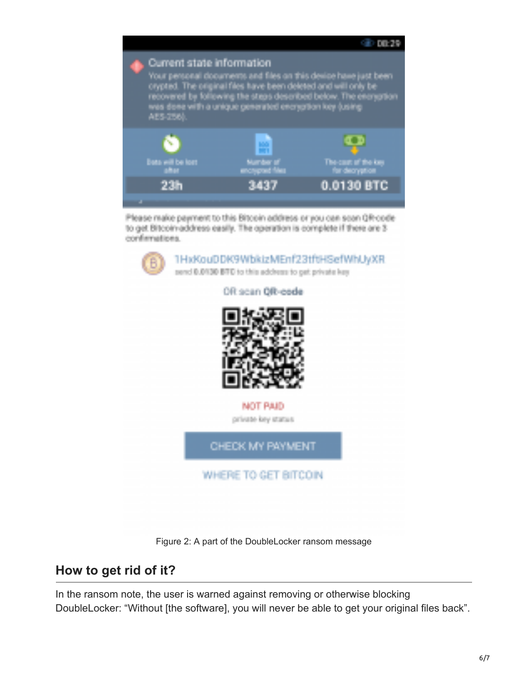



Figure 2: A part of the DoubleLocker ransom message

#### **How to get rid of it?**

In the ransom note, the user is warned against removing or otherwise blocking DoubleLocker: "Without [the software], you will never be able to get your original files back".